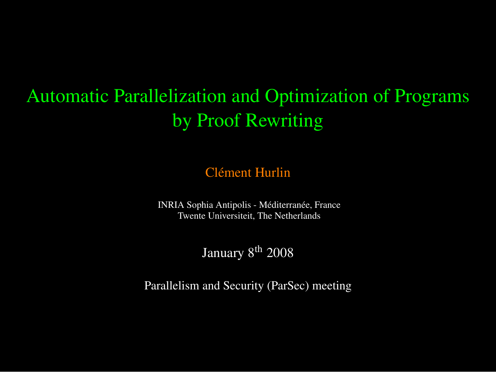### Automatic Parallelization and Optimization of Programs by Proof Rewriting

Clément Hurlin

INRIA Sophia Antipolis - Méditerranée, France Twente Universiteit, The Netherlands

January 8<sup>th</sup> 2008

Parallelism and Security (ParSec) meeting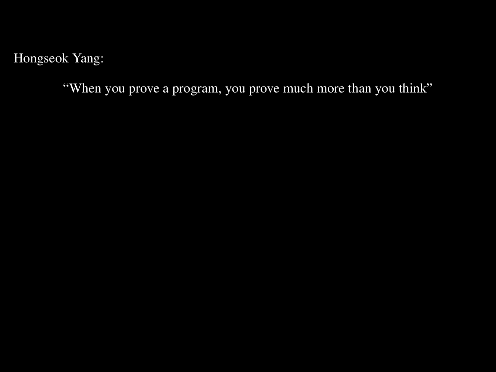Hongseok Yang:

"When you prove a program, you prove much more than you think"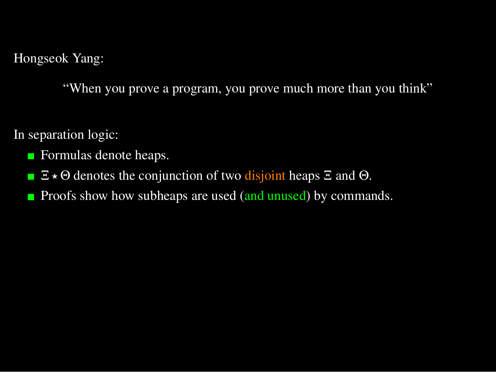Hongseok Yang:

"When you prove a program, you prove much more than you think"

In separation logic:

- **Formulas denote heaps.**
- $\Box \times \Theta$  denotes the conjunction of two disjoint heaps  $\Xi$  and  $\Theta$ .
- Proofs show how subheaps are used (and unused) by commands. п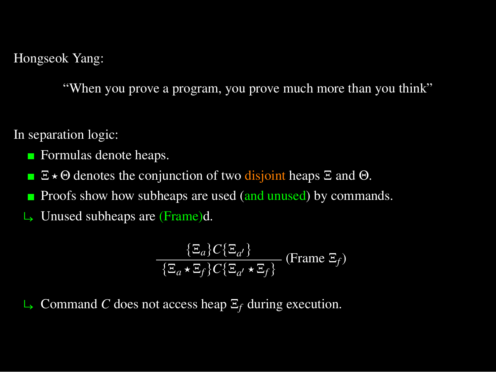Hongseok Yang:

"When you prove a program, you prove much more than you think"

In separation logic:

- **Formulas denote heaps.**
- $\Xi \star \Theta$  denotes the conjunction of two disjoint heaps  $\Xi$  and  $\Theta$ .  $\blacksquare$
- Proofs show how subheaps are used (and unused) by commands. п
- $\rightarrow$  Unused subheaps are (Frame)d.

$$
\frac{\{\Xi_a\}C\{\Xi_{a'}\}}{\{\Xi_a \star \Xi_f\}C\{\Xi_{a'} \star \Xi_f\}}
$$
 (Frame  $\Xi_f$ )

ë Command *C* does not access heap Ξ*<sup>f</sup>* during execution.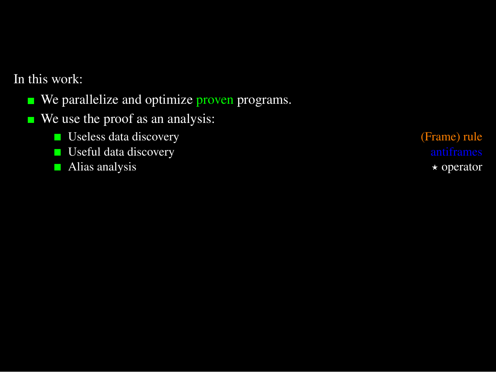In this work:

- We parallelize and optimize proven programs.  $\overline{\phantom{a}}$
- We use the proof as an analysis: **T** 
	- Useless data discovery (Frame) rule
	- **D** Useful data discovery **antiframes** and  $\blacksquare$
	- Alias analysis  $\rightarrow$  Operator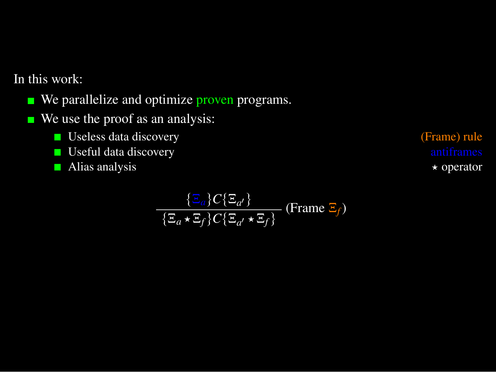In this work:

- We parallelize and optimize proven programs.  $\overline{\phantom{a}}$
- We use the proof as an analysis: T.
	- Useless data discovery (Frame) rule
	- **D** Useful data discovery **antiframes** and  $\blacksquare$
	- Alias analysis  $\star$  operator

$$
\frac{\{\Xi_a\}C\{\Xi_{a'}\}}{\{\Xi_a \star \Xi_f\}C\{\Xi_{a'} \star \Xi_f\}}
$$
 (Frame  $\Xi_f$ )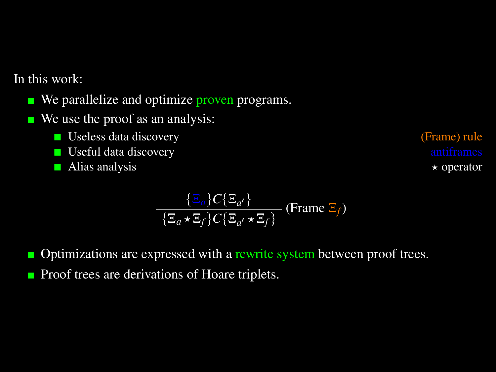In this work:

- We parallelize and optimize proven programs.  $\blacksquare$
- We use the proof as an analysis: П
	- $\blacksquare$  Useless data discovery
	- $\blacksquare$  Useful data discovery
	- $\blacksquare$  Alias analysis

(Frame) rule

\n
$$
antif names
$$

\n
$$
\star
$$
 operator

$$
\frac{\{\Xi_a\}C\{\Xi_{a'}\}}{\{\Xi_a \star \Xi_f\}C\{\Xi_{a'} \star \Xi_f\}}
$$
 (Frame  $\Xi_f$ )

- Optimizations are expressed with a rewrite system between proof trees. П
- Proof trees are derivations of Hoare triplets. $\blacksquare$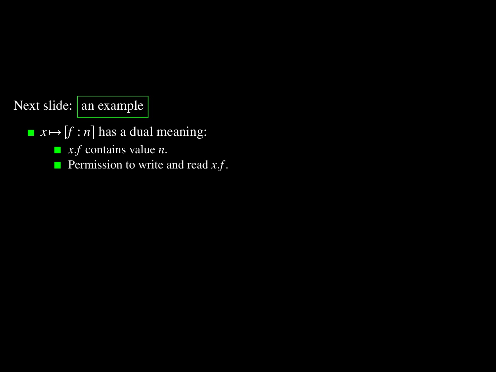#### Next slide: an example

- $\blacksquare$   $x \mapsto [f : n]$  has a dual meaning:
	- *x*.*f* contains value *n*.
	- **Permission to write and read** *x***.***f***.**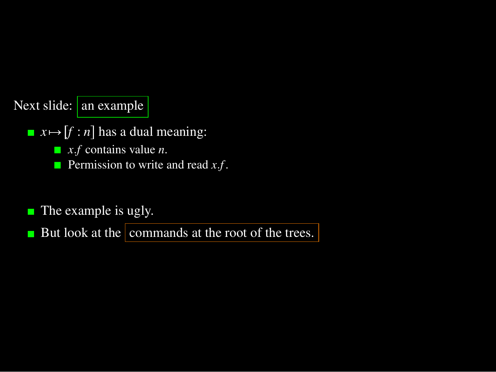#### Next slide: an example

- $\blacksquare$   $x \mapsto [f : n]$  has a dual meaning:
	- *x*.*f* contains value *n*.
	- Permission to write and read *x*.*f*.
- The example is ugly. П

But look at the commands at the root of the trees.  $\overline{\phantom{a}}$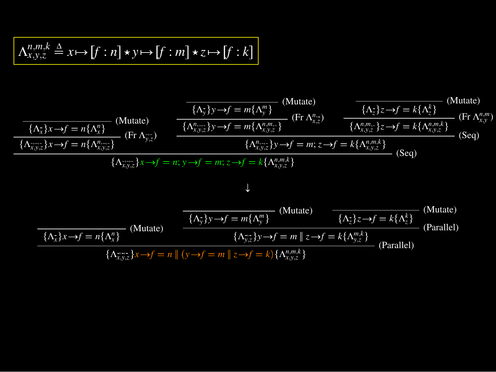$$
\Lambda_{x,y,z}^{n,m,k}\triangleq x\!\mapsto [f:n]\star y\!\mapsto\! [f:m]\star z\!\mapsto\! [f:k]
$$

$$
\frac{\overbrace{(\Lambda_x^2)x \to f = n\{\Lambda_x^n\}}_{\{\Lambda_x^n y \to f = n\{\Lambda_x^n\}} \text{ (Mutate)}}_{\{\Lambda_{x,y,z}^n y \to f = m\{\Lambda_{x,y}^n z\}} \text{ (Br } \Lambda_{y,z}^n \text{ (Br } \Lambda_{y,z}^n \text{ (Br } \Lambda_{y,z}^n \text{ (Br } \Lambda_{y,z}^n \text{ (Br } \Lambda_{y,z}^n \text{ (Br } \Lambda_{y,z}^n \text{ (Br } \Lambda_{y,z}^n \text{ (Br } \Lambda_{y,z}^n \text{ (Br } \Lambda_{y,z}^n \text{ (Br } \Lambda_{y,z}^n \text{ (Br } \Lambda_{y,z}^n \text{ (Br } \Lambda_{y,z}^n \text{ (Br } \Lambda_{y,z}^n \text{ (Br } \Lambda_{y,z}^n \text{ (Br } \Lambda_{y,z}^n \text{ (Br } \Lambda_{y,z}^n \text{ (Br } \Lambda_{y,z}^n \text{ (Br } \Lambda_{y,z}^n \text{ (Br } \Lambda_{y,z}^n \text{ (Br } \Lambda_{y,z}^n \text{ (Br } \Lambda_{y,z}^n \text{ (Br } \Lambda_{y,z}^n \text{ (Br } \Lambda_{y,z}^n \text{ (Br } \Lambda_{y,z}^n \text{ (Br } \Lambda_{y,z}^n \text{ (Br } \Lambda_{y,z}^n \text{ (Br } \Lambda_{y,z}^n \text{ (Br } \Lambda_{y,z}^n \text{ (Br } \Lambda_{y,z}^n \text{ (Br } \Lambda_{y,z}^n \text{ (Br } \Lambda_{y,z}^n \text{ (Br } \Lambda_{y,z}^n \text{ (Br } \Lambda_{y,z}^n \text{ (Br } \Lambda_{y,z}^n \text{ (Br } \Lambda_{y,z}^n \text{ (Br } \Lambda_{y,z}^n \text{ (Br } \Lambda_{y,z}^n \text{ (Br } \Lambda_{y,z}^n \text{ (Br } \Lambda_{y,z}^n \text{ (Br } \Lambda_{y,z}^n \text{ (Br } \Lambda_{y,z}^n \text{ (Br } \Lambda_{y,z}^n \text{ (Br } \Lambda_{y,z}^n \text{ (Br } \Lambda_{y,z}^n \text{ (Br } \Lambda_{y,z}^n \text{ (Br } \Lambda_{y,z}^n \text{ (Br } \Lambda_{y,z}^n \text{ (Br } \Lambda_{y,z}^n \text{ (Br } \Lambda_{
$$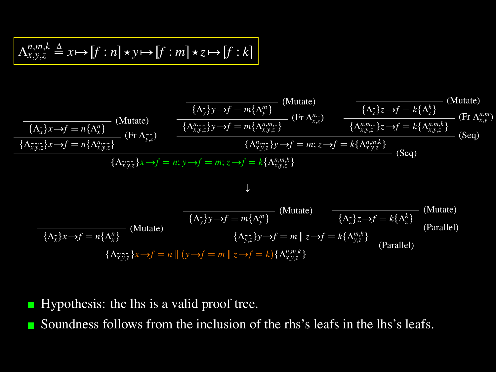$$
\Lambda_{x,y,z}^{n,m,k}\triangleq x\!\mapsto\! [f:n]\star y\!\mapsto\! [f:m]\star z\!\mapsto\! [f:k]
$$

$$
\frac{\overbrace{(\Lambda_{x}^{+})x\rightarrow f=n\{\Lambda_{x}^{n}\}}(\text{Mutate})}{\{\Lambda_{x,y,z}^{n}\}\}\ (Fr\Lambda_{y,z}^{n})}{\text{(Fr\Lambda_{x,y}^{n}}\}\ \frac{\overbrace{(\Lambda_{y}^{n})y\rightarrow f=m\{\Lambda_{y,z}^{n}\}}(\text{Fr}\Lambda_{y,z}^{n})}{\{\Lambda_{x,y,z}^{n}\}\}\ \frac{\overbrace{(\Lambda_{x,y,z}^{n})y\rightarrow f=m\{\Lambda_{x,y,z}^{n}\}}(\text{Fr}\Lambda_{y,z}^{n})}{\{\Lambda_{x,y,z}^{n}\}\}\ \overbrace{(\Lambda_{x,y,z}^{n})y\rightarrow f=m; z\rightarrow f=k\{\Lambda_{x,y,z}^{n}\}}(\text{Seq})}{\{\Lambda_{x,y,z}^{n}\}\ \overbrace{(\Lambda_{x,y,z}^{n})y\rightarrow f=m; z\rightarrow f=k\{\Lambda_{x,y,z}^{n}\}}(\text{Seq})
$$
\n
$$
\{\Lambda_{x,y,z}^{n}\}\ \overbrace{(\Lambda_{x,y,z}^{n})y\rightarrow f=m; z\rightarrow f=k\{\Lambda_{x,y,z}^{n}\}}(\text{Seq})
$$
\n
$$
\downarrow
$$
\n
$$
\frac{\overbrace{(\Lambda_{y,z}^{n})y\rightarrow f=m\{\Lambda_{y,z}^{n}\}}(\text{Mutate})}{\{\Lambda_{y,z}^{n}\}\ \overbrace{(\Lambda_{y,z}^{n})y\rightarrow f=m\{\Lambda_{y,z}^{m}\}}(\text{Mutate})\ \overbrace{(\Lambda_{z}^{n})z\rightarrow f=k\{\Lambda_{y,z}^{n}\}}(\text{Mutate})}{\{\Lambda_{x,z}^{n}\}\ \overbrace{(\Lambda_{y,z}^{n})y\rightarrow f=m\|\{x\rightarrow f=k\{\Lambda_{y,z}^{m}\}}(\text{Parallel})}
$$
\n
$$
\frac{\overbrace{(\Lambda_{y,z}^{n})y\rightarrow f=m\|\{x\rightarrow f=k\{\Lambda_{y,z}^{m}\}}(\text{Parallel})}{\{\Lambda_{x,y,z}^{n}\}\ \overbrace{(\Lambda_{y,z}^{n})y\rightarrow f=m\|\{x\rightarrow f=k\{\Lambda_{y,z}^{m}\}}(\text{Parallel})}
$$

)

- Hypothesis: the lhs is a valid proof tree.
- Soundness follows from the inclusion of the rhs's leafs in the lhs's leafs.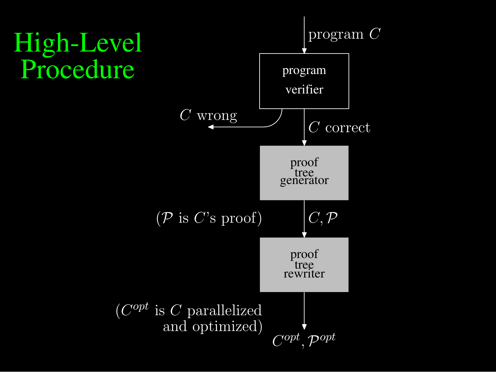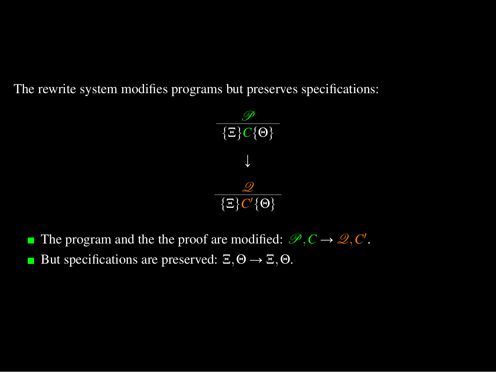The rewrite system modifies programs but preserves specifications:



- The program and the the proof are modified:  $\mathcal{P}, C \to \mathcal{Q}, C'$ .
- But specifications are preserved:  $\Xi$ ,  $\Theta \rightarrow \Xi$ ,  $\Theta$ . П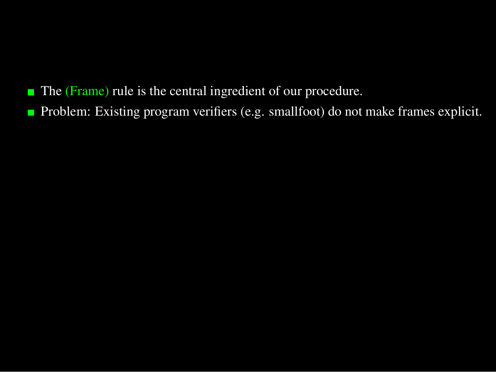- The (Frame) rule is the central ingredient of our procedure.
- **Problem:** Existing program verifiers (e.g. smallfoot) do not make frames explicit.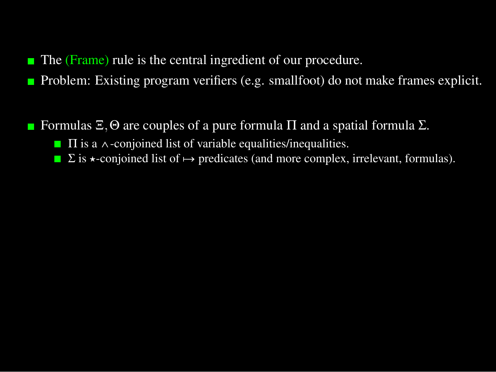- $\blacksquare$ The (Frame) rule is the central ingredient of our procedure.
- Problem: Existing program verifiers (e.g. smallfoot) do not make frames explicit. П
- Formulas  $\Xi$ ,  $\Theta$  are couples of a pure formula  $\Pi$  and a spatial formula  $\Sigma$ .
	- $\blacksquare$   $\Pi$  is a  $\wedge$ -conjoined list of variable equalities/inequalities.
	- $\Box$  Σ is  $\star$ -conjoined list of  $\mapsto$  predicates (and more complex, irrelevant, formulas).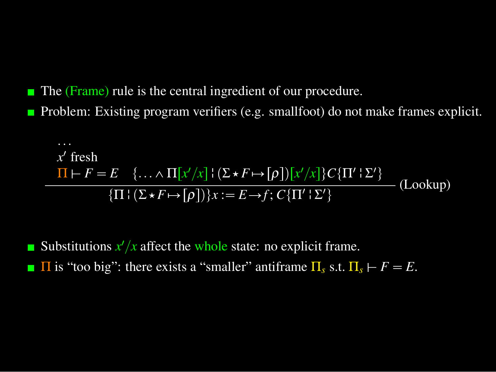- The (Frame) rule is the central ingredient of our procedure.
- Problem: Existing program verifiers (e.g. smallfoot) do not make frames explicit. П

$$
x' \text{ fresh}
$$
\n
$$
\Pi \vdash F = E \quad \{ \dots \land \Pi[x'/x] \mid (\Sigma \star F \mapsto [\rho]) [x'/x] \} C \{ \Pi' \mid \Sigma' \}
$$
\n
$$
\{ \Pi \mid (\Sigma \star F \mapsto [\rho]) \} x := E \to f; C \{ \Pi' \mid \Sigma' \}
$$
\n(Looking)

Substitutions  $x'/x$  affect the whole state: no explicit frame. **Π** is "too big": there exists a "smaller" antiframe  $\Pi_s$  s.t.  $\Pi_s \vdash F = E$ . П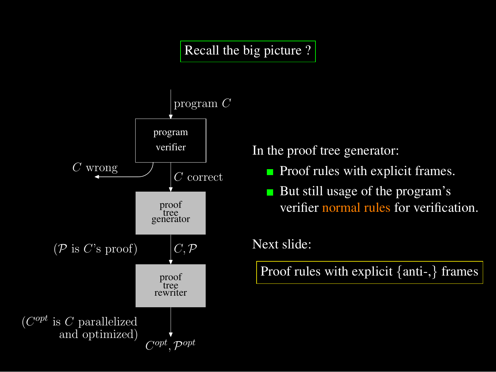#### Recall the big picture ?



In the proof tree generator:

- $\blacksquare$  Proof rules with explicit frames.
- But still usage of the program's verifier normal rules for verification.

#### Next slide:

Proof rules with explicit {anti-,} frames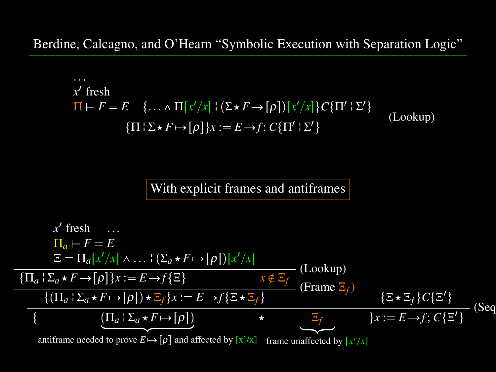Berdine, Calcagno, and O'Hearn "Symbolic Execution with Separation Logic"

$$
\frac{x' \text{ fresh}}{\Pi \vdash F = E \quad \{ \dots \land \Pi[x'/x] \mid (\Sigma \star F \mapsto [\rho]) [x'/x] \} C \{\Pi' \vdash \Sigma' \}
$$
\n
$$
\{ \Pi \vdash \Sigma \star F \mapsto [\rho] \} x := E \to f; C \{\Pi' \vdash \Sigma' \}
$$
\n(Lookup)

#### With explicit frames and antiframes

$$
x' \text{ fresh } \dots
$$
\n
$$
\Pi_a \vdash F = E
$$
\n
$$
\Xi = \Pi_a [x'/x] \wedge \dots \{(\Sigma_a \star F \mapsto [\rho])[x'/x] \qquad (Looking)
$$
\n
$$
\frac{\{\Pi_a \vdash \Sigma_a \star F \mapsto [\rho]\}x := E \to f\{\Xi\}}{(\Pi_a \vdash \Sigma_a \star F \mapsto [\rho]) \star \Xi_f\}x := E \to f\{\Xi \star \Xi_f\}} \qquad \text{(From } \Xi_f) \qquad \{\Xi \star \Xi_f\}C\{\Xi'\}
$$
\n
$$
\{\begin{array}{c}\n(\Pi_a \vdash \Sigma_a \star F \mapsto [\rho]) \star \Xi_f\}x := E \to f\{\Xi \star \Xi_f\} \\
\{\begin{array}{c}\n(\Pi_a \vdash \Sigma_a \star F \mapsto [\rho]) \\
\text{antifframe} \text{ modeled by } [x'/x] \\
\text{anifframe needed to prove } E \mapsto [\rho] \text{ and affected by } [x'/x] \\
\end{array}\n\end{array}\n\qquad \times \qquad\n\begin{array}{c}\n\Xi_f \\
\Xi_f \\
\end{array}\n\qquad \{x \star f \mapsto f : C\{\Xi'\} \\
\text{for } \Omega \text{ is the same in the image of } E \text{ and } E \text{ is the same in the image of } E \text{ and } E \text{ is the same in the image of } E \text{ and } E \text{ is the same in the image of } E \text{ and } E \text{ is the same in the image of } E \text{ and } E \text{ is the same in the image of } E \text{ and } E \text{ is the same in the image of } E \text{ and } E \text{ is the same in the image of } E \text{ and } E \text{ is the same in the image of } E \text{ and } E \text{ is the same in the image of } E \text{ and } E \text{ is the same in the image of } E \text{ and } E \text{ is the same in the image of } E \text{ and } E \text{ is the same in the image of } E \text{ and } E \text{ is the same in the image of } E \text{ and } E \text{ is the same in the image of } E \text{ and } E \text{ is the same in the image of } E \text{ and } E \text{ is the same in the image of } E \text{ and } E \text{ is the same in the image of } E \text{ and } E \text{ is the same in the image of } E \text{ and } E \text{ is the same in the image of } E \text{ and } E
$$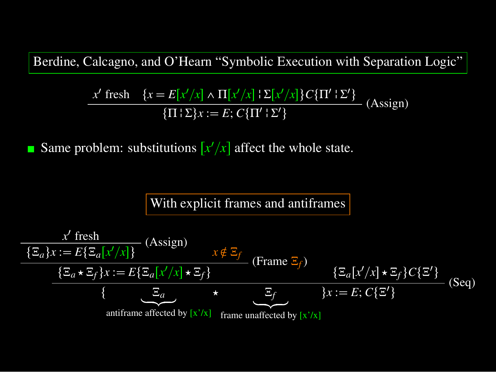Berdine, Calcagno, and O'Hearn "Symbolic Execution with Separation Logic"

$$
\frac{x' \text{ fresh } \{x = E[x'/x] \land \Pi[x'/x] \} \Sigma[x'/x] \} C\{\Pi' \} \Sigma'\}
$$
\n
$$
\{\Pi \} \Sigma\} x := E; C\{\Pi' \} \Sigma'\}
$$
\n(Assign)

Same problem: substitutions  $\left[x'/x\right]$  affect the whole state. П

#### With explicit frames and antiframes

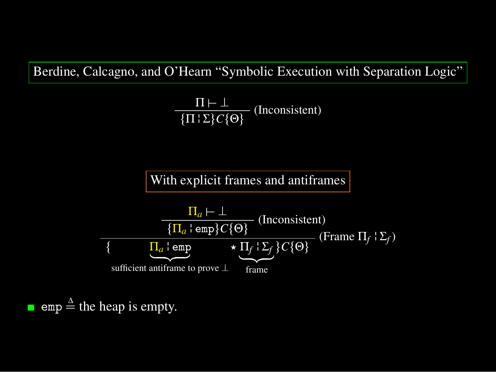Berdine, Calcagno, and O'Hearn "Symbolic Execution with Separation Logic"

 $\frac{\Pi \vdash \bot}{\{\Pi \mid \Sigma\} C \{\Theta\}}$  (Inconsistent)

With explicit frames and antiframes



 $emp \triangleq$  the heap is empty.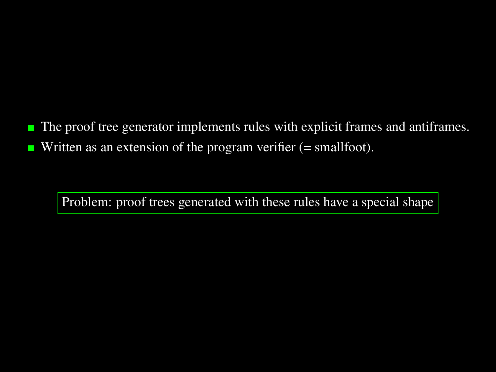The proof tree generator implements rules with explicit frames and antiframes.  $\blacksquare$ Written as an extension of the program verifier (= smallfoot).  $\blacksquare$ 

Problem: proof trees generated with these rules have a special shape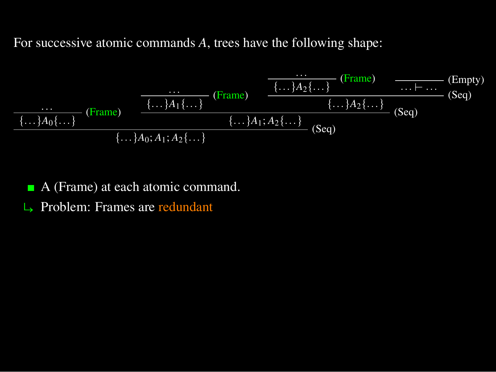For successive atomic commands *A*, trees have the following shape:

$$
\frac{\dots}{\{\dots\}A_0\{\dots\}} \cdot (\text{Frame}) \quad \frac{\overbrace{\{\dots\}A_1\{\dots\}}^{(\text{Frame})} \quad \overbrace{\{\dots\}A_2\{\dots\}}^{(\text{Frame})} \quad \overbrace{\dots\}A_2\{\dots\}}^{(\text{Frame})} \cdot (\text{Seq})}{\{\dots\}A_0\{\dots\}} \cdot (\text{Seq})}{\{\dots\}A_0; A_1; A_2\{\dots\}} \cdot (\text{Seq})}
$$

- A (Frame) at each atomic command.
- $\rightarrow$  Problem: Frames are redundant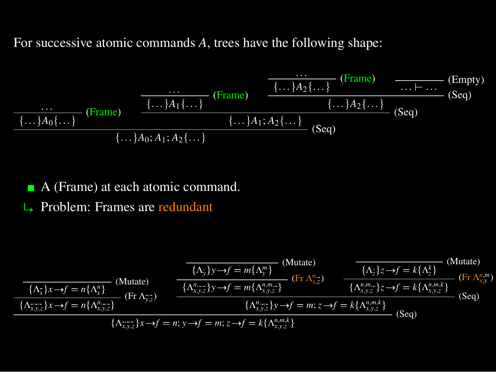For successive atomic commands *A*, trees have the following shape:

$$
\frac{\cdots}{\{ \ldots \} A_0 \{ \ldots \}} \text{ (Frame)} \quad \frac{\overbrace{\{\ldots\} A_1 \{ \ldots \}}^{(\text{Frame})} \quad \overbrace{\{\ldots\} A_2 \{ \ldots \}}^{(\text{Frame})} \quad \overbrace{\ldots \vdots \ldots \vdots }^{(\text{Frame})} \quad \overbrace{\{\ldots\} A_2 \{ \ldots \}}^{(\text{Frame})} \quad \overbrace{\ldots \vdots \ldots \vdots }^{(\text{Frame})} \quad \overbrace{\text{(Seq)}}^{(\text{Tempty})} \quad \overbrace{\text{(Seq)}}^{(\text{Tempty})} \quad \overbrace{\ldots \} A_0; A_1; A_2 \{ \ldots \}}^{(\text{Frame})} \quad \overbrace{\ldots \} A_1; A_2 \{ \ldots \}}^{(\text{Frame})} \quad \overbrace{\text{(Seq)}}
$$

A (Frame) at each atomic command.

 $\rightarrow$  Problem: Frames are redundant

$$
\frac{\overbrace{(\Lambda_{\overline{x}}^*)x \to f = n\{\Lambda_{\overline{x}}^n\}}_{\{\Lambda_{\overline{x}}^+}\} \text{ (Mutate)}}_{\{\Lambda_{\overline{x},\overline{y},z}\}x \to f = n\{\Lambda_{\overline{x},\overline{y}}^n\}}_{\text{ (Hutate)}} \quad \frac{\overbrace{(\Lambda_{\overline{y}}^*)y \to f = m\{\Lambda_{\overline{y}}^m\}}_{\{\Lambda_{\overline{x},\overline{y},z}\}y \to f = m\{\Lambda_{\overline{x},\overline{y},z}^m\}}_{\{\Lambda_{\overline{x},\overline{y},z}\}y \to f = m\{\Lambda_{\overline{x},\overline{y},z}^n\}}_{\text{ (Fulute)}} \quad \frac{\overbrace{(\Lambda_{\overline{x}}^n\}z \to f = k\{\Lambda_{\overline{x},\overline{y}}^n\}}_{\{\Lambda_{\overline{x},\overline{y},z}^n\}y \to f = m\{\Lambda_{\overline{x},\overline{y},z}^n\}}_{\text{ (Fulute)}} \quad \frac{\overbrace{(\Lambda_{\overline{x},\overline{y},\overline{z}}^n\}y \to f = m\{\Lambda_{\overline{x},\overline{y},z}^n\}}_{\{\Lambda_{\overline{x},\overline{y},z}^n\}y \to f = m\{x \to f = k\{\Lambda_{\overline{x},\overline{y},z}^n\}}_{\text{ (Seq)}} \quad \text{(Seq)}
$$
\n
$$
\frac{\overbrace{(\Lambda_{\overline{x},\overline{y},\overline{z}}^n\}x \to f = n\{y \to f = m\{z \to f = k\{\Lambda_{\overline{x},\overline{y},\overline{z}}^n\}}_{\{\Lambda_{\overline{x},\overline{y},\overline{z}}^n\}}_{\text{ (Seq)}}
$$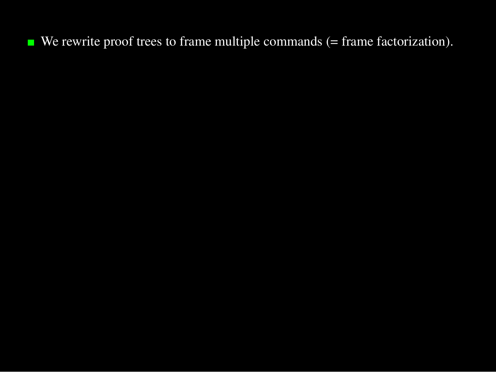$\blacksquare$  We rewrite proof trees to frame multiple commands (= frame factorization).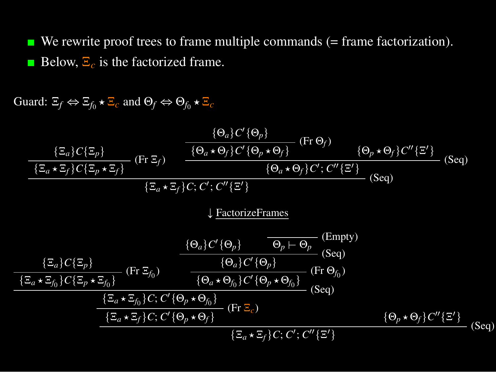$\blacksquare$  We rewrite proof trees to frame multiple commands (= frame factorization). Below, Ξ*<sup>c</sup>* is the factorized frame.

Guard:  $\Xi_f \Leftrightarrow \Xi_{f_0} \star \Xi_c$  and  $\Theta_f \Leftrightarrow \Theta_{f_0} \star \Xi_c$ 

tΞ*a*u*C*tΞ*p*u (Fr Ξ*<sup>f</sup>* ) tΞ*<sup>a</sup>* Ξ*<sup>f</sup>* u*C*tΞ*<sup>p</sup>* Ξ*<sup>f</sup>* u tΘ*a*u*C* 1tΘ*p*u (Fr Θ*<sup>f</sup>* ) tΘ*<sup>a</sup>* Θ*<sup>f</sup>* u*C* 1tΘ*<sup>p</sup>* Θ*<sup>f</sup>* u tΘ*<sup>p</sup>* Θ*<sup>f</sup>* u*C* 2tΞ 1u (Seq) tΘ*<sup>a</sup>* Θ*<sup>f</sup>* u*C* 1; *C* 2tΞ 1u (Seq) tΞ*<sup>a</sup>* Ξ*<sup>f</sup>* u*C*; *C* 1; *C* 2tΞ 1u Ó FactorizeFrames tΞ*a*u*C*tΞ*p*u (Fr Ξ*f*<sup>0</sup> ) tΞ*<sup>a</sup>* Ξ*f*<sup>0</sup> u*C*tΞ*<sup>p</sup>* Ξ*f*<sup>0</sup> u tΘ*a*u*C* 1tΘ*p*u (Empty) Θ*<sup>p</sup>* \$ Θ*<sup>p</sup>* (Seq) tΘ*a*u*C* 1tΘ*p*u (Fr Θ*f*<sup>0</sup> ) tΘ*<sup>a</sup>* Θ*f*<sup>0</sup> u*C* 1tΘ*<sup>p</sup>* Θ*f*<sup>0</sup> u (Seq) tΞ*<sup>a</sup>* Ξ*f*<sup>0</sup> u*C*; *C* 1tΘ*<sup>p</sup>* Θ*f*<sup>0</sup> u (Fr Ξ*c*) tΞ*<sup>a</sup>* Ξ*<sup>f</sup>* u*C*; *C* 1tΘ*<sup>p</sup>* Θ*<sup>f</sup>* u tΘ*<sup>p</sup>* Θ*<sup>f</sup>* u*C* 2tΞ 1u (Seq) tΞ*<sup>a</sup>* Ξ*<sup>f</sup>* u*C*; *C* 1; *C* 2tΞ 1u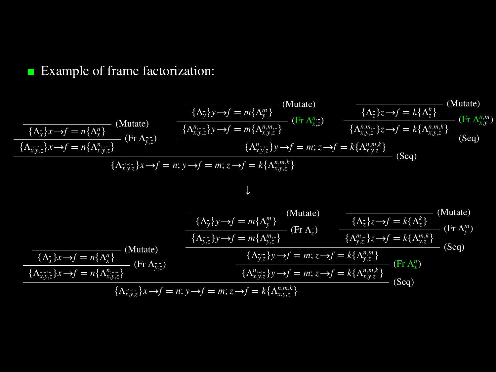#### **Example of frame factorization:**

$$
\frac{\overbrace{(\Lambda_{\vec{x}}^1)x \to f = n\{\Lambda_{\vec{x}}^n\}}_{\{\Lambda_{\vec{x},\vec{y},z}^n\}x \to f = n\{\Lambda_{\vec{x},\vec{y},z}^n\}}_{\{\Lambda_{\vec{x},\vec{y},z}^n\}x \to f = n\{\Lambda_{\vec{x},\vec{y},z}^n\}}_{\{\Lambda_{\vec{x},\vec{y},z}^n\}x \to f = n\{\Lambda_{\vec{x},\vec{y},z}^n\}}_{\{\Lambda_{\vec{x},\vec{y},z}^n\}x \to f = n; y \to f = m; z \to f = k\{\Lambda_{\vec{x},\vec{y},z}^n\}}_{\{\Lambda_{\vec{x},\vec{y},z}^n\}x \to f = n\{\Lambda_{\vec{x},\vec{y},z}^n\}}_{\{\Lambda_{\vec{x},\vec{y},z}^n\}x \to f = n; y \to f = m; z \to f = k\{\Lambda_{\vec{x},\vec{y},z}^n\}}_{\{\Lambda_{\vec{x},\vec{y},z}^n\}x \to f = n; y \to f = m; z \to f = k\{\Lambda_{\vec{x},\vec{y},z}^n\}}_{\{\Lambda_{\vec{x},\vec{y},z}^n\}x \to f = n; y \to f = m; z \to f = k\{\Lambda_{\vec{x},\vec{y},z}^n\}}_{\{\Lambda_{\vec{x},\vec{y},z}^n\}x \to f = n\{\Lambda_{\vec{x},\vec{y},z}^n\}}_{\{\Lambda_{\vec{x},\vec{y},z}^n\}x \to f = n\{\Lambda_{\vec{x},\vec{y},z}^n\}}_{\{\Lambda_{\vec{y},z}^n\}x \to f = n\{\Lambda_{\vec{x},\vec{y},z}^n\}}_{\{\Lambda_{\vec{y},z}^n\}x \to f = n\{\Lambda_{\vec{x},\vec{y},z}^n\}}_{\{\Lambda_{\vec{y},z}^n\}x \to f = n; y \to f = m; z \to f = k\{\Lambda_{\vec{y},\vec{z}}^n\}}_{\{\Lambda_{\vec{y},z}^n\}x \to f = n\{\Lambda_{\vec{x},\vec{y},z}^n\}}_{\{\Lambda_{\vec{y},z}^n\}x \to f = n; y \to f = m; z \to f = k\{\Lambda_{\vec{y
$$

(Mutate)

)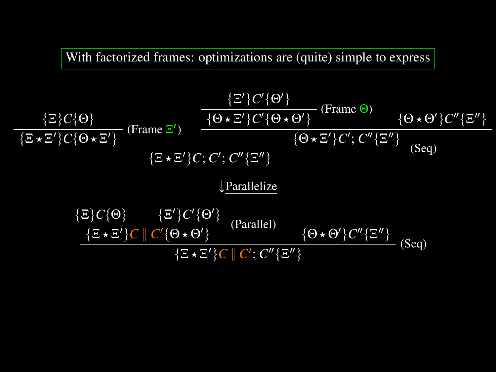With factorized frames: optimizations are (quite) simple to express

$$
\frac{\{\Xi\}C\{\Theta\}}{\{\Xi \star \Xi'\}C\{\Theta \star \Xi'\}} \frac{\{\Xi'\}C'\{\Theta'\}}{\{\Theta \star \Xi'\}C'\{\Theta \star \Theta'\}} \frac{\{\Theta \star \Theta'\}C''\{\Xi''\}}{\{\Theta \star \Xi'\}C'\{\Theta \star \Theta'\}} \frac{\{\Theta \star \Theta'\}C''\{\Xi''\}}{\{\Theta \star \Xi'\}C'\{\Theta'\}}}{\{\Xi \star \Xi'\}C;\ C';\ C'''\{\Xi''\}} \frac{\{\Theta \star \Xi'\}C'\{C''\}\{\Xi''\}}{\{\Theta \star \Theta'\}} \frac{\{\Theta \star \Theta'\}C''\{\Xi''\}}{\{\Xi \star \Xi'\}C'\{\Theta'\}}}{\{\Xi \star \Xi'\}C'\{\Theta'\}} \frac{\{\Xi \star \Xi'\}C'\{\Theta'\}}{\{\Theta \star \Theta'\}C''\{\Xi''\}} \frac{\{\Theta \star \Theta'\}C''\{\Xi''\}}{\{\Theta \star \Theta'\}} \frac{\{\Theta \star \Theta'\}C''\{\Xi''\}}{\{\Theta \star \Theta'\}}}{\{\Theta \star \Theta'\}C''\{\Xi''\}}}
$$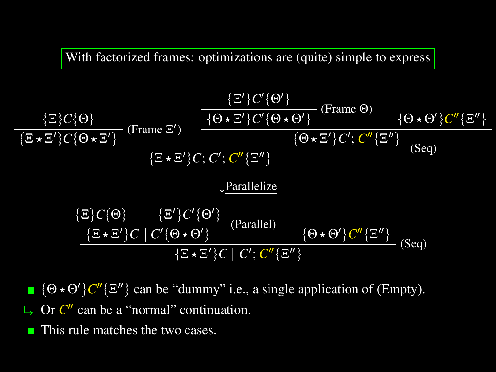With factorized frames: optimizations are (quite) simple to express

$$
\frac{\{\Xi\}C\{\Theta\}}{\{\Xi \star \Xi'\}C\{\Theta \star \Xi'\}} \text{ (Frame } \Xi') \quad \frac{\{\Xi'\}C'\{\Theta'\}}{\{\Theta \star \Xi'\}C'\{\Theta \star \Theta'\}} \text{ (Frame } \Theta) \quad \{\Theta \star \Theta'\}C''\{\Xi''\}}{\{\Xi \star \Xi'\}C;\ C';\ C''\{\Xi''\}} \quad \text{(Seq)}
$$
\n
$$
\frac{\{\Xi \star \Xi'\}C\{\Theta \star \Xi'\}C;\ C''\{\Xi''\}}{\{\Xi \star \Xi'\}C;\ C''\{\Xi''\}}
$$
\n
$$
\frac{\frac{\text{Parallelize}}{\{\Xi \star \Xi'\}C'\{\Theta'\}}}{\frac{\{\Xi \star \Xi'\}C''\{\Theta' \}}{\{\Xi \star \Xi'\}C''\{\Theta' \}} \quad \text{(Parallel)} \quad \{\Theta \star \Theta'\}C''\{\Xi''\}}{\frac{\{\Xi \star \Xi'\}C''\{C'\{\Theta \star \Theta'\}}}{\{\Xi \star \Xi'\}C''\{C'\}C'''\{\Xi''\}} \quad \text{(Seq)}
$$

- $\{\Theta \star \Theta'\} C'' \{\Xi''\}$  can be "dummy" i.e., a single application of (Empty).
- $\rightarrow$  Or  $C''$  can be a "normal" continuation.
- This rule matches the two cases.г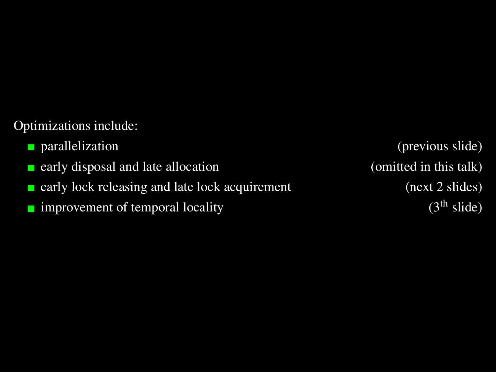#### Optimizations include:

- 
- early disposal and late allocation (omitted in this talk) П
- early lock releasing and late lock acquirement (next 2 slides) П
- improvement of temporal locality  $(3<sup>th</sup> slide)$  $\overline{\phantom{a}}$

**parallelization** (previous slide)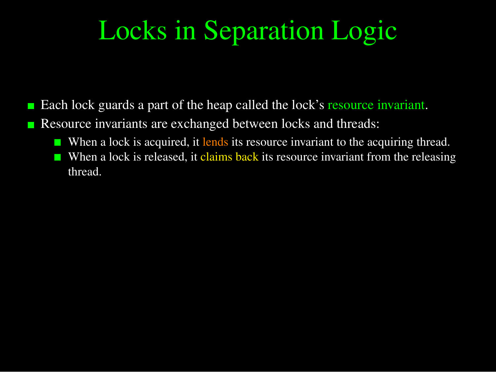# Locks in Separation Logic

- Each lock guards a part of the heap called the lock's resource invariant.
- Resource invariants are exchanged between locks and threads: г
	- When a lock is acquired, it lends its resource invariant to the acquiring thread.
	- When a lock is released, it claims back its resource invariant from the releasing thread.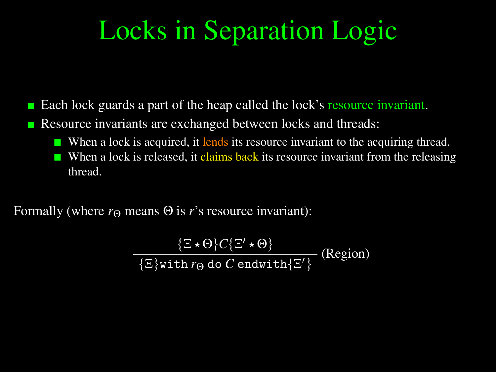# Locks in Separation Logic

- Each lock guards a part of the heap called the lock's resource invariant.
- Resource invariants are exchanged between locks and threads: г
	- When a lock is acquired, it lends its resource invariant to the acquiring thread.
	- When a lock is released, it claims back its resource invariant from the releasing thread.

Formally (where  $r_{\Theta}$  means  $\Theta$  is *r*'s resource invariant):

$$
\frac{\{\Xi \star \Theta\} C\{\Xi' \star \Theta\}}{\{\Xi\} \text{with } r_{\Theta} \text{ do } C \text{ endwith } \{\Xi'\}} \text{ (Region)}
$$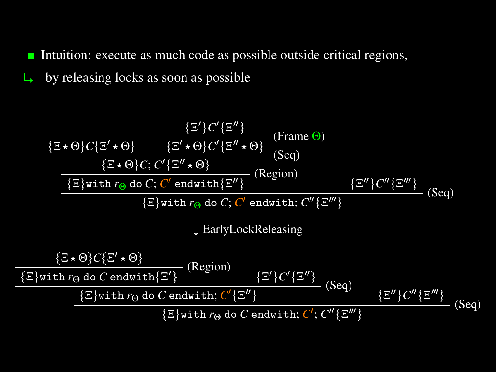Intuition: execute as much code as possible outside critical regions, П

 $\rightarrow$  by releasing locks as soon as possible

$$
\frac{\{\Xi'\}C'\{\Xi''\}}{\{\Xi*\Theta\}C\{\Xi'\star\Theta\}} \quad \text{(Frame } \Theta)
$$
\n
$$
\frac{\{\Xi'\}C'\{\Xi''\star\Theta\}}{\{\Xi*\Theta\}C; C'\{\Xi''\star\Theta\}} \quad \text{(Seq)}
$$
\n
$$
\frac{\{\Xi'\}C'\{\Xi''\star\Theta\}}{\{\Xi\}with r_{\Theta}\text{ do } C; C'\text{ endwith}\{\Xi''\}} \quad \text{(Region)}
$$
\n
$$
\frac{\{\Xi''\}C''\{\Xi'''\}}{\{\Xi\}with r_{\Theta}\text{ do } C; C'\text{ endwith; } C''\{\Xi'''\}} \quad \text{(Seq)}
$$
\n
$$
\frac{\{\Xi*\Theta\}C\{\Xi'\star\Theta\}}{\{\Xi\}with r_{\Theta}\text{ do } C\text{ endwith}\{\Xi'\}} \quad \text{(Region)}
$$
\n
$$
\frac{\{\Xi'\}C'\{\Xi''\}}{\{\Xi'\}with r_{\Theta}\text{ do } C\text{ endwith; } C'\{\Xi''\}} \quad \text{(Seq)}
$$
\n
$$
\frac{\{\Xi''\}C''\{\Xi''\}}{\{\Xi\}with r_{\Theta}\text{ do } C\text{ endwith; } C'\{\Xi''\}} \quad \text{(Seq)}
$$
\n
$$
\frac{\{\Xi''\}C''\{\Xi''\}}{\{\Xi'\}with r_{\Theta}\text{ do } C\text{ endwith; } C'; C''\{\Xi'''\}} \quad \text{(Seq)}
$$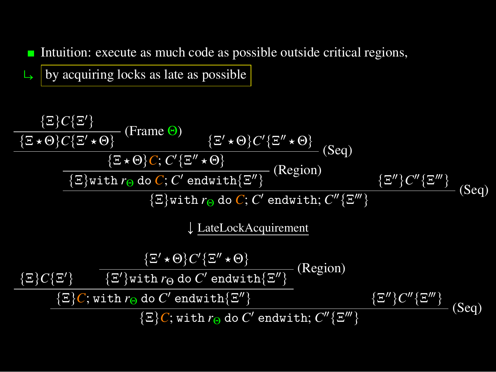Intuition: execute as much code as possible outside critical regions, П

 $\overline{\mathsf{b}}$  by acquiring locks as late as possible

$$
\frac{\{\Xi\}C\{\Xi'\}}{\{\Xi\star\Theta\}C\{\Xi'\star\Theta\}}\n\quad \text{(Frame } \Theta)}\n\frac{\{\Xi'\star\Theta\}C'\{\Xi''\star\Theta\}}{\{\Xi\star\Theta\}C;\ C'\{\Xi''\star\Theta\}}\n\quad \text{(Seq)}\n\frac{\{\Xi\}\text{with }r_{\Theta}\text{ do }C;\ C'\text{ endwith}\{\Xi''\}}{\{\Xi\} \text{with }r_{\Theta}\text{ do }C;\ C'\text{ endwith}\{\Xi''\}}\n\quad \text{(Region)}\n\frac{\{\Xi''\}C''\{\Xi'''\}}{\{\Xi'\} \text{with }r_{\Theta}\text{ do }C;\ C'\text{ endwith; }C''\{\Xi'''\}}\n\frac{\{\Xi\}C\{\Xi'\}}{\{\Xi'\star\Theta\}C'\{\Xi''\star\Theta\}}\n\frac{\{\Xi\}C\{\Xi'\}}{\{\Xi'\} \text{with }r_{\Theta}\text{ do }C'\text{ endwith}\{\Xi''\}}\n\frac{\{\Xi\}C\{\Xi'\}}{\{\Xi'\}C;\text{with }r_{\Theta}\text{ do }C'\text{ endwith}\{\Xi''\}}\n\frac{\{\Xi''\}C''\{\Xi'''\}}{\{\Xi'\}C;\text{with }r_{\Theta}\text{ do }C'\text{ endwith}\{\Xi''\}}\n\text{(Seq)}
$$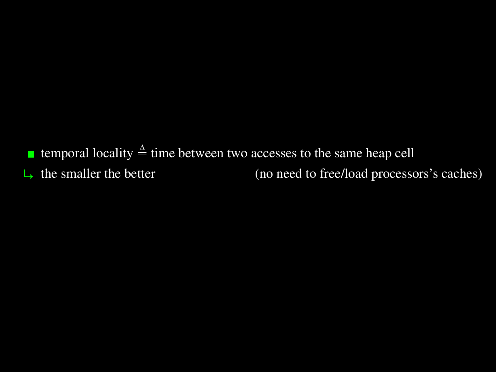**■ temporal locality**  $\stackrel{\Delta}{=}$  **time between two accesses to the same heap cell**  $\Box$  the smaller the better (no need to free/load processors's caches)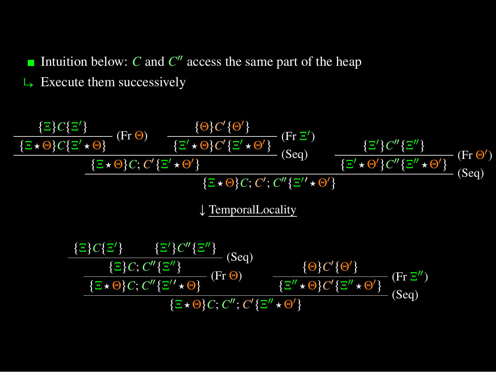Intuition below:  $C$  and  $C''$  access the same part of the heap

 $\overline{\phantom{a}}$  Execute them successively

$$
\frac{\{\Xi\}C\{\Xi'\}}{\{\Xi\star\Theta\}C\{\Xi'\star\Theta\}} \quad \text{(Fr }\Theta) \qquad \frac{\{\Theta\}C'\{\Theta'\}}{\{\Xi'\star\Theta\}C'\{\Xi'\star\Theta'\}} \quad \text{(Seq)} \qquad \frac{\{\Xi'\}C''\{\Xi''\}}{\{\Xi'\star\Theta\}C'\{\Xi'\star\Theta'\}} \quad \text{(Seq)} \qquad \frac{\{\Xi'\}C''\{\Xi''\}}{\{\Xi'\star\Theta'\}C''\{\Xi''\star\Theta'\}} \quad \text{(Seq)} \qquad \frac{\{\Xi'\}C''\{\Xi''\star\Theta'\}}{\{\Xi'\star\Theta\}C'\{\Xi''\star\Theta'\}} \quad \text{(Seq)} \qquad \frac{\{\Xi\}C\{\Xi'\}}{\{\Xi'\star\Theta\}C'\{\Xi''\}} \quad \text{(Seq)} \qquad \frac{\{\Xi\}C\{\Xi'\}}{\{\Xi'\star\Theta\}C'\{\Xi''\}} \quad \text{(Seq)} \qquad \frac{\{\Xi\}C\{\Xi'\}}{\{\Xi'\star\Theta\}C'\{\Xi''\}} \quad \text{(Seq)} \qquad \frac{\{\Theta\}C'\{\Theta'\}}{\{\Xi''\star\Theta'\}} \quad \text{(Fr }\Xi'') \qquad \frac{\{\Xi\}C\{\Xi'\}}{\{\Xi'\star\Theta\}C'\{\Xi''\star\Theta'\}} \quad \frac{\{\Theta\}C'\{\Theta'\}}{\{\Xi''\star\Theta'\}C'\{\Xi''\star\Theta'\}} \quad \text{(Seq)} \qquad \frac{\{\Xi\}C'\{\Xi''\}}{\{\Xi'\star\Theta\}C'\{\Xi''\star\Theta'\}} \quad \frac{\{\Theta\}C'\{\Theta'\}}{\{\Xi''\star\Theta'\}} \quad \frac{\{\Theta\}C'\{\Theta'\}}{\{\Theta'\}} \quad \frac{\{\Theta\}C'\{\Theta'\}}{\{\Theta'\}} \quad \frac{\{\Theta\}C'\{\Theta'\}}{\{\Theta'\}} \quad \frac{\{\Theta\}C'\{\Theta'\}}{\{\Theta'\}} \quad \frac{\{\Theta\}C'\{\Theta'\}}{\{\Theta'\}} \quad \frac{\{\Theta\}C'\{\Theta'\}}{\{\Theta'\}} \quad \frac{\{\Theta\}C'\{\Theta'\}}{\{\Theta'\}} \quad \frac{\{\Theta\}C'\{\Theta'\}}{\{\Theta'\}} \quad \frac{\{\Theta\}C'\{\Theta'\}}{\{\Theta'\}} \quad \frac{\{\Theta\}C'\{\Theta'\}}{\{\Theta'\}} \quad \frac{\{\Theta\}C'\{\Theta'\}}{\{\Theta'\}} \quad \frac{\{\Theta\}C'\{\Theta'\}}{\
$$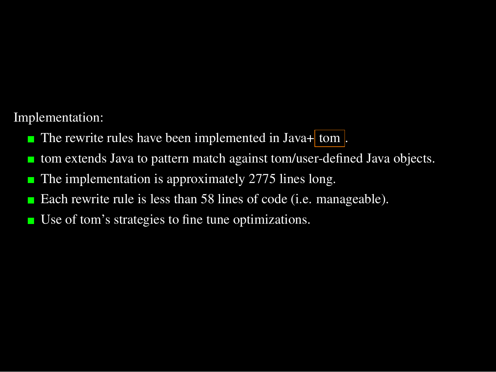Implementation:

- The rewrite rules have been implemented in Java+ tom  $\blacksquare$
- tom extends Java to pattern match against tom/user-defined Java objects. П
- The implementation is approximately 2775 lines long. г
- Each rewrite rule is less than 58 lines of code (i.e. manageable). г
- Use of tom's strategies to fine tune optimizations.П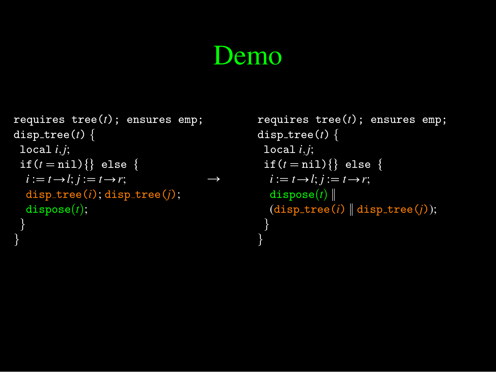## Demo

}

```
requires tree(t); ensures emp;
disp\_tree(t) {
 local i,j;
 if(t = \text{nil})\{\} else \{i := \overline{t \rightarrow l}; j := \overline{t \rightarrow r};
  disp_tree(i); disp_tree(j);
  dispose(t);}
                                                  \rightarrow
```
}

```
requires tree(t); ensures emp;
disp\_tree(t) {
 local i,j;
 if(t = \text{nil})\{\} else \{i := t \rightarrow l; j := t \rightarrow r;
  \texttt{dispose}(t)(disp-tree(i) | disp-tree(j));}
```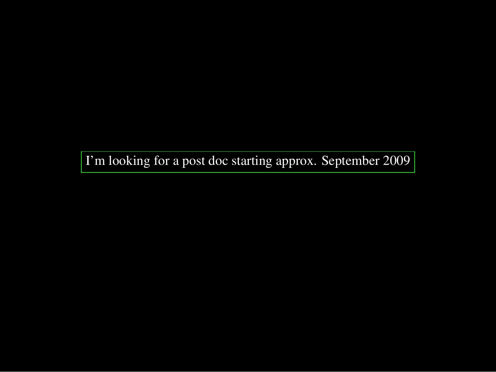I'm looking for a post doc starting approx. September 2009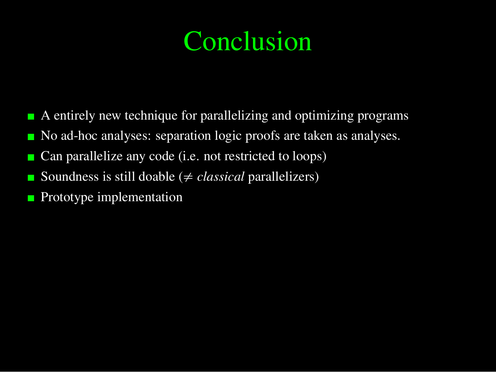# Conclusion

- $\blacksquare$  A entirely new technique for parallelizing and optimizing programs
- No ad-hoc analyses: separation logic proofs are taken as analyses.  $\blacksquare$
- Can parallelize any code (i.e. not restricted to loops) г
- Soundness is still doable ( $\neq classical$  parallelizers) г
- Prototype implementation